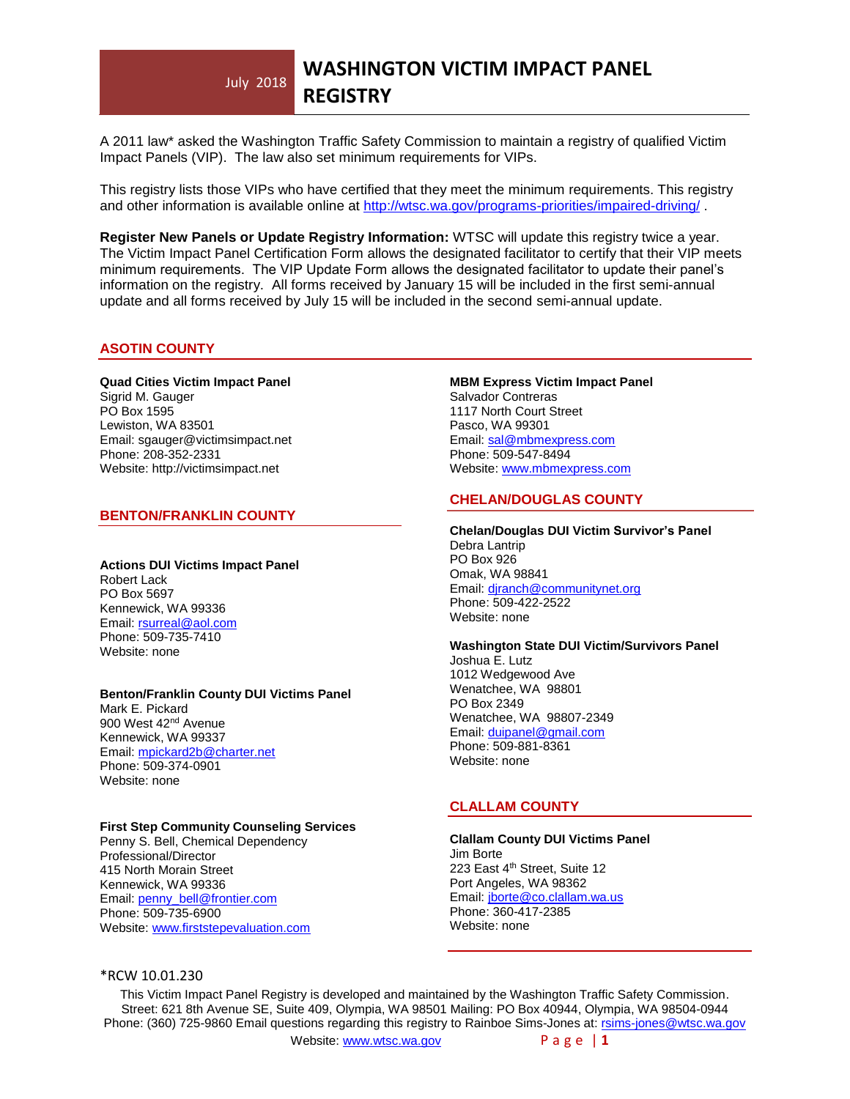#### July 2018 **WASHINGTON VICTIM IMPACT PANEL REGISTRY**

A 2011 law\* asked the Washington Traffic Safety Commission to maintain a registry of qualified Victim Impact Panels (VIP). The law also set minimum requirements for VIPs.

This registry lists those VIPs who have certified that they meet the minimum requirements. This registry and other information is available online at<http://wtsc.wa.gov/programs-priorities/impaired-driving/>

**Register New Panels or Update Registry Information:** WTSC will update this registry twice a year. The Victim Impact Panel Certification Form allows the designated facilitator to certify that their VIP meets minimum requirements. The VIP Update Form allows the designated facilitator to update their panel's information on the registry. All forms received by January 15 will be included in the first semi-annual update and all forms received by July 15 will be included in the second semi-annual update.

# **ASOTIN COUNTY**

#### **Quad Cities Victim Impact Panel** Sigrid M. Gauger PO Box 1595 Lewiston, WA 83501 Email: sgauger@victimsimpact.net Phone: 208-352-2331 Website: http://victimsimpact.net

### **BENTON/FRANKLIN COUNTY**

### **Actions DUI Victims Impact Panel**

Robert Lack PO Box 5697 Kennewick, WA 99336 Email[: rsurreal@aol.com](mailto:rsurreal@aol.com) Phone: 509-735-7410 Website: none

#### **Benton/Franklin County DUI Victims Panel**

Mark E. Pickard 900 West 42<sup>nd</sup> Avenue Kennewick, WA 99337 Email[: mpickard2b@charter.net](mailto:mpickard2b@charter.net) Phone: 509-374-0901 Website: none

### **First Step Community Counseling Services**

Penny S. Bell, Chemical Dependency Professional/Director 415 North Morain Street Kennewick, WA 99336 Email: [penny\\_bell@frontier.com](mailto:penny_bell@frontier.com) Phone: 509-735-6900 Website[: www.firststepevaluation.com](http://www.firststepevaluation.com/)

# **MBM Express Victim Impact Panel** Salvador Contreras 1117 North Court Street Pasco, WA 99301 Email: [sal@mbmexpress.com](mailto:sal@mbmexpress.com) Phone: 509-547-8494 Website[: www.mbmexpress.com](http://www.mbmexpress.com/)

# **CHELAN/DOUGLAS COUNTY**

### **Chelan/Douglas DUI Victim Survivor's Panel** Debra Lantrip PO Box 926 Omak, WA 98841

Email: [djranch@communitynet.org](mailto:djranch@communitynet.org) Phone: 509-422-2522 Website: none

### **Washington State DUI Victim/Survivors Panel**

Joshua E. Lutz 1012 Wedgewood Ave Wenatchee, WA 98801 PO Box 2349 Wenatchee, WA 98807-2349 Email: [duipanel@gmail.com](mailto:duipanel@gmail.com) Phone: 509-881-8361 Website: none

# **CLALLAM COUNTY**

#### **Clallam County DUI Victims Panel** Jim Borte 223 East 4<sup>th</sup> Street, Suite 12 Port Angeles, WA 98362 Email[: jborte@co.clallam.wa.us](mailto:jborte@co.clallam.wa.us) Phone: 360-417-2385 Website: none

# \*RCW 10.01.230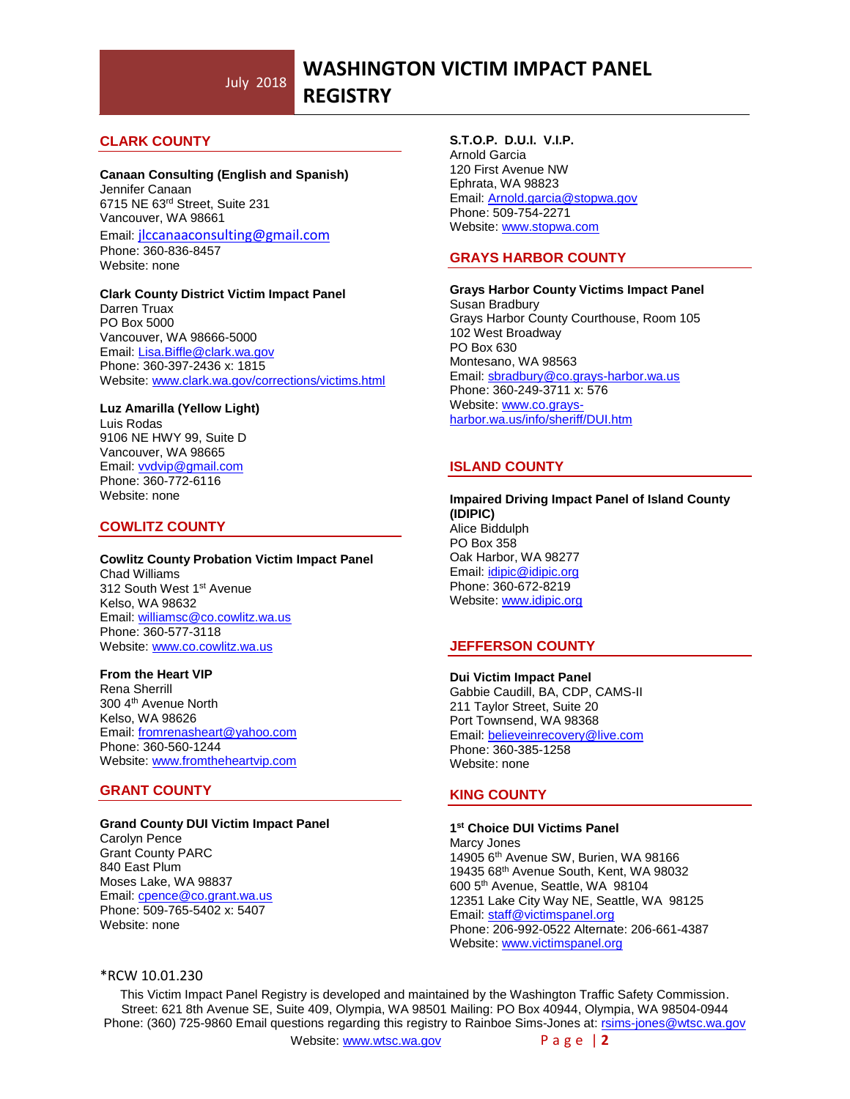# **CLARK COUNTY**

### **Canaan Consulting (English and Spanish)**

Jennifer Canaan 6715 NE 63rd Street, Suite 231 Vancouver, WA 98661 Email: [jlccanaaconsulting@gmail.com](mailto:jlccanaaconsulting@gmail.com) Phone: 360-836-8457 Website: none

#### **Clark County District Victim Impact Panel**

Darren Truax PO Box 5000 Vancouver, WA 98666-5000 Email[: Lisa.Biffle@clark.wa.gov](mailto:Lisa.Biffle@clark.wa.gov) Phone: 360-397-2436 x: 1815 Website: [www.clark.wa.gov/corrections/victims.html](http://www.clark.wa.gov/corrections/victims.html)

#### **Luz Amarilla (Yellow Light)**

Luis Rodas 9106 NE HWY 99, Suite D Vancouver, WA 98665 Email[: vvdvip@gmail.com](mailto:vvdvip@gmail.com) Phone: 360-772-6116 Website: none

# **COWLITZ COUNTY**

#### **Cowlitz County Probation Victim Impact Panel** Chad Williams 312 South West 1st Avenue Kelso, WA 98632

Email[: williamsc@co.cowlitz.wa.us](mailto:williamsc@co.cowlitz.wa.us) Phone: 360-577-3118 Website: [www.co.cowlitz.wa.us](http://www.co.cowlitz.wa.us/)

### **From the Heart VIP**

Rena Sherrill 300 4th Avenue North Kelso, WA 98626 Email[: fromrenasheart@yahoo.com](mailto:fromrenasheart@yahoo.com) Phone: 360-560-1244 Website: [www.fromtheheartvip.com](http://www.fromtheheartvip.com/)

# **GRANT COUNTY**

### **Grand County DUI Victim Impact Panel**

Carolyn Pence Grant County PARC 840 East Plum Moses Lake, WA 98837 Email[: cpence@co.grant.wa.us](mailto:cpence@co.grant.wa.us) Phone: 509-765-5402 x: 5407 Website: none

# **S.T.O.P. D.U.I. V.I.P.**

Arnold Garcia 120 First Avenue NW Ephrata, WA 98823 Email[: Arnold.garcia@stopwa.gov](mailto:Arnold.garcia@stopwa.gov) Phone: 509-754-2271 Website: [www.stopwa.com](http://www.stopwa.com/)

# **GRAYS HARBOR COUNTY**

**Grays Harbor County Victims Impact Panel** Susan Bradbury Grays Harbor County Courthouse, Room 105 102 West Broadway PO Box 630 Montesano, WA 98563 Email[: sbradbury@co.grays-harbor.wa.us](mailto:sbradbury@co.grays-harbor.wa.us) Phone: 360-249-3711 x: 576 Website[: www.co.grays](http://www.co.grays-harbor.wa.us/info/sheriff/DUI.htm)[harbor.wa.us/info/sheriff/DUI.htm](http://www.co.grays-harbor.wa.us/info/sheriff/DUI.htm)

# **ISLAND COUNTY**

**Impaired Driving Impact Panel of Island County (IDIPIC)** Alice Biddulph PO Box 358 Oak Harbor, WA 98277 Email[: idipic@idipic.org](mailto:idipic@idipic.org) Phone: 360-672-8219 Website[: www.idipic.org](http://www.idipic.org/)

# **JEFFERSON COUNTY**

**Dui Victim Impact Panel** Gabbie Caudill, BA, CDP, CAMS-II 211 Taylor Street, Suite 20 Port Townsend, WA 98368 Email[: believeinrecovery@live.com](mailto:believeinrecovery@live.com) Phone: 360-385-1258 Website: none

# **KING COUNTY**

# **1 st Choice DUI Victims Panel**

Marcy Jones 14905 6th Avenue SW, Burien, WA 98166 19435 68th Avenue South, Kent, WA 98032 600 5th Avenue, Seattle, WA 98104 12351 Lake City Way NE, Seattle, WA 98125 Email: [staff@victimspanel.org](mailto:staff@victimspanel.org) Phone: 206-992-0522 Alternate: 206-661-4387 Website[: www.victimspanel.org](http://www.victimspanel.org/)

# \*RCW 10.01.230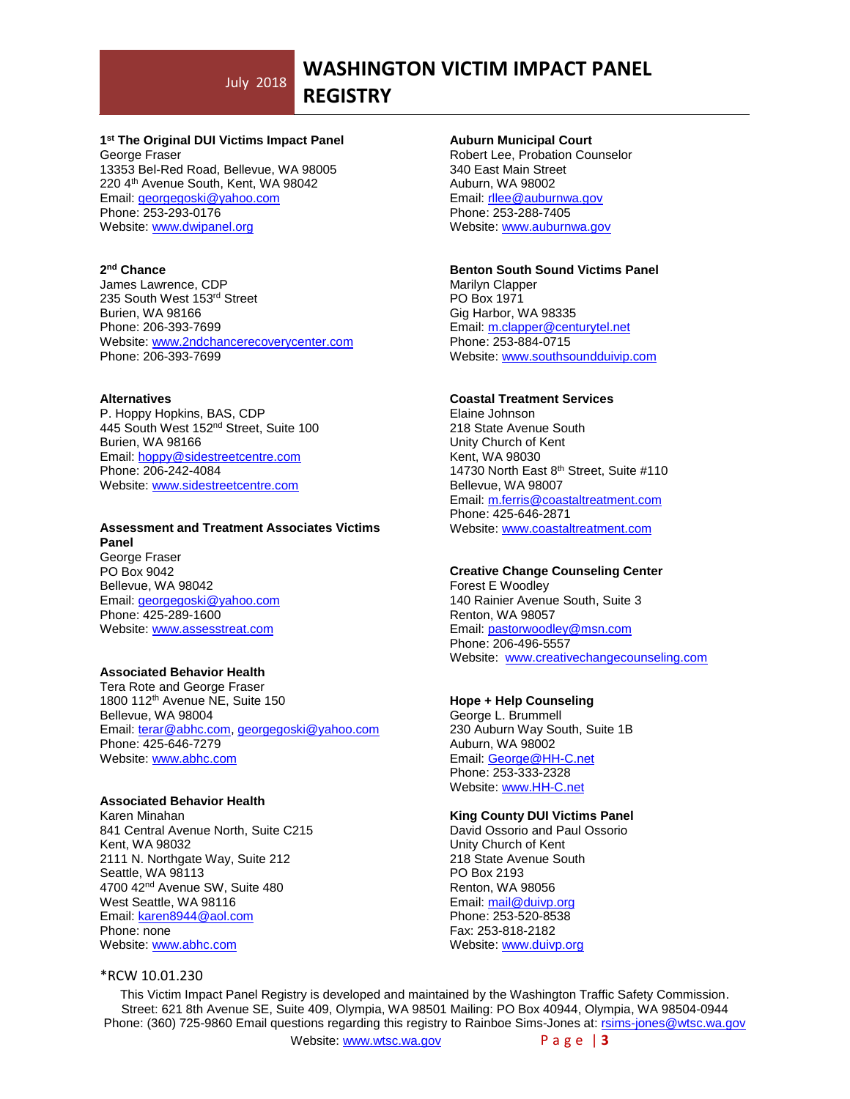# **WASHINGTON VICTIM IMPACT PANEL**

# **REGISTRY**

# **1 st The Original DUI Victims Impact Panel**

George Fraser 13353 Bel-Red Road, Bellevue, WA 98005 220 4th Avenue South, Kent, WA 98042 Email: [georgegoski@yahoo.com](mailto:georgegoski@yahoo.com) Phone: 253-293-0176 Website[: www.dwipanel.org](http://www.dwipanel.org/)

#### **2 nd Chance**

James Lawrence, CDP 235 South West 153rd Street Burien, WA 98166 Phone: 206-393-7699 Website: www.2ndchancerecoverycenter.com Phone: 206-393-7699

#### **Alternatives**

P. Hoppy Hopkins, BAS, CDP 445 South West 152nd Street, Suite 100 Burien, WA 98166 Email[: hoppy@sidestreetcentre.com](mailto:hoppy@sidestreetcentre.com) Phone: 206-242-4084 Website[: www.sidestreetcentre.com](http://www.sidestreetcentre.com/)

#### **Assessment and Treatment Associates Victims Panel**

George Fraser PO Box 9042 Bellevue, WA 98042 Email[: georgegoski@yahoo.com](mailto:georgegoski@yahoo.com) Phone: 425-289-1600 Website[: www.assesstreat.com](http://www.assesstreat.com/)

# **Associated Behavior Health**

Tera Rote and George Fraser 1800 112<sup>th</sup> Avenue NE, Suite 150 Bellevue, WA 98004 Email[: terar@abhc.com,](mailto:terar@abhc.com) [georgegoski@yahoo.com](mailto:georgegoski@yahoo.com) Phone: 425-646-7279 Website[: www.abhc.com](http://www.abhc.com/)

#### **Associated Behavior Health**

Karen Minahan 841 Central Avenue North, Suite C215 Kent, WA 98032 2111 N. Northgate Way, Suite 212 Seattle, WA 98113 4700 42nd Avenue SW, Suite 480 West Seattle, WA 98116 Email: [karen8944@aol.com](mailto:karen8944@aol.com) Phone: none Website[: www.abhc.com](http://www.abhc.com/)

### \*RCW 10.01.230

# **Auburn Municipal Court**

Robert Lee, Probation Counselor 340 East Main Street Auburn, WA 98002 Email[: rllee@auburnwa.gov](mailto:rllee@auburnwa.gov) Phone: 253-288-7405 Website[: www.auburnwa.gov](http://www.auburnwa.gov/)

#### **Benton South Sound Victims Panel**

Marilyn Clapper PO Box 1971 Gig Harbor, WA 98335 Email[: m.clapper@centurytel.net](mailto:m.clapper@centurytel.net) Phone: 253-884-0715 Website[: www.southsoundduivip.com](http://www.southsoundduivip.com/)

### **Coastal Treatment Services**

Elaine Johnson 218 State Avenue South Unity Church of Kent Kent, WA 98030 14730 North East 8<sup>th</sup> Street, Suite #110 Bellevue, WA 98007 Email: [m.ferris@coastaltreatment.com](mailto:m.ferris@coastaltreatment.com) Phone: 425-646-2871 Website[: www.coastaltreatment.com](http://www.coastaltreatment.com/)

# **Creative Change Counseling Center**

Forest E Woodley 140 Rainier Avenue South, Suite 3 Renton, WA 98057 Email[: pastorwoodley@msn.com](mailto:pastorwoodley@msn.com) Phone: 206-496-5557 Website: [www.creativechangecounseling.com](http://www.creativechangecounseling.com/)

### **Hope + Help Counseling**

George L. Brummell 230 Auburn Way South, Suite 1B Auburn, WA 98002 Email[: George@HH-C.net](mailto:George@HH-C.net) Phone: 253-333-2328 Website: [www.HH-C.net](http://www.hh-c.net/)

### **King County DUI Victims Panel**

David Ossorio and Paul Ossorio Unity Church of Kent 218 State Avenue South PO Box 2193 Renton, WA 98056 Email[: mail@duivp.org](mailto:mail@duivp.org) Phone: 253-520-8538 Fax: 253-818-2182 Website[: www.duivp.org](http://www.duivp.org/)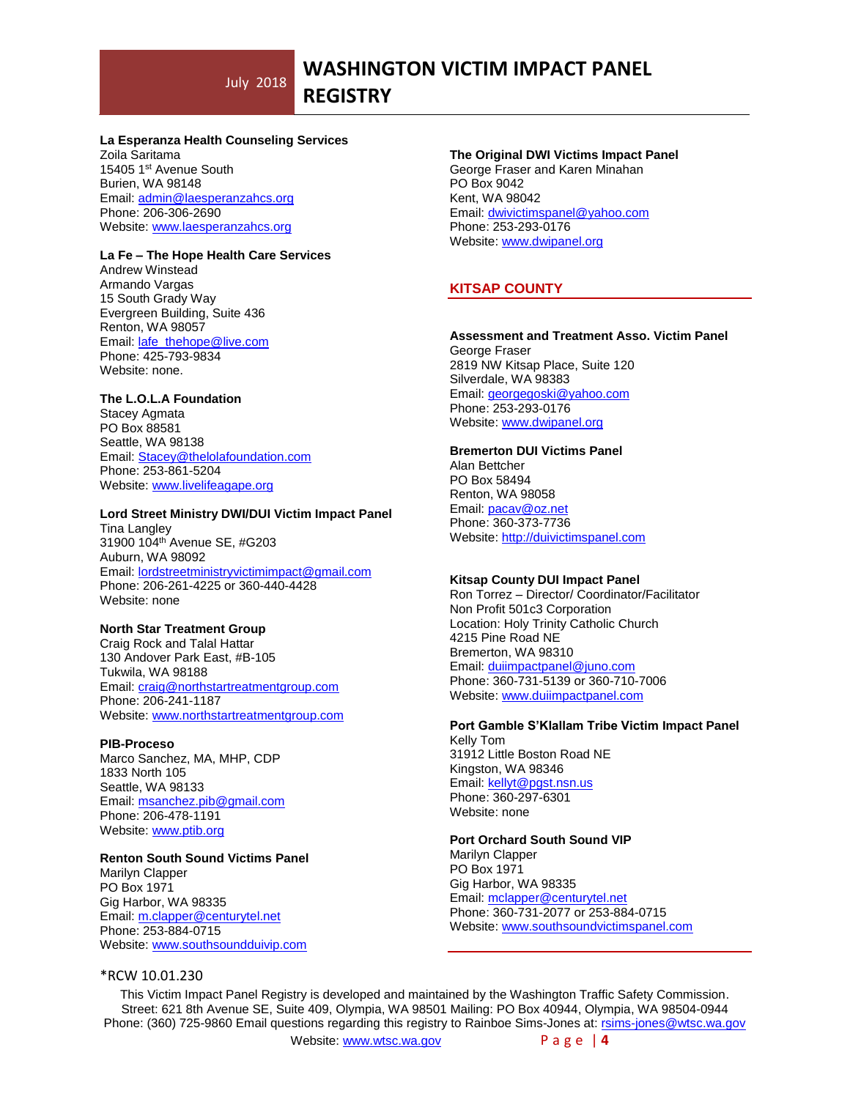**REGISTRY**

#### **La Esperanza Health Counseling Services**

Zoila Saritama 15405 1st Avenue South Burien, WA 98148 Email: [admin@laesperanzahcs.org](mailto:admin@laesperanzahcs.org) Phone: 206-306-2690 Website[: www.laesperanzahcs.org](http://www.laesperanzahcs.org/)

# **La Fe – The Hope Health Care Services**

Andrew Winstead Armando Vargas 15 South Grady Way Evergreen Building, Suite 436 Renton, WA 98057 Email[: lafe\\_thehope@live.com](mailto:lafe_thehope@live.com) Phone: 425-793-9834 Website: none.

### **The L.O.L.A Foundation**

Stacey Agmata PO Box 88581 Seattle, WA 98138 Email[: Stacey@thelolafoundation.com](mailto:Stacey@thelolafoundation.com) Phone: 253-861-5204 Website[: www.livelifeagape.org](http://www.livelifeagape.org/)

# **Lord Street Ministry DWI/DUI Victim Impact Panel**

Tina Langley 31900 104th Avenue SE, #G203 Auburn, WA 98092 Email[: lordstreetministryvictimimpact@gmail.com](mailto:lordstreetministryvictimimpact@gmail.com) Phone: 206-261-4225 or 360-440-4428 Website: none

### **North Star Treatment Group**

Craig Rock and Talal Hattar 130 Andover Park East, #B-105 Tukwila, WA 98188 Email[: craig@northstartreatmentgroup.com](mailto:craig@northstartreatmentgroup.com) Phone: 206-241-1187 Website[: www.northstartreatmentgroup.com](http://www.northstartreatmentgroup.com/)

#### **PIB-Proceso**

Marco Sanchez, MA, MHP, CDP 1833 North 105 Seattle, WA 98133 Email[: msanchez.pib@gmail.com](mailto:msanchez.pib@gmail.com) Phone: 206-478-1191 Website[: www.ptib.org](http://www.ptib.org/)

### **Renton South Sound Victims Panel**

Marilyn Clapper PO Box 1971 Gig Harbor, WA 98335 Email[: m.clapper@centurytel.net](mailto:m.clapper@centurytel.net) Phone: 253-884-0715 Website[: www.southsoundduivip.com](http://www.southsoundduivip.com/)

### \*RCW 10.01.230

**The Original DWI Victims Impact Panel** George Fraser and Karen Minahan PO Box 9042 Kent, WA 98042 Email[: dwivictimspanel@yahoo.com](mailto:dwivictimspanel@yahoo.com) Phone: 253-293-0176 Website[: www.dwipanel.org](http://www.dwipanel.org/)

# **KITSAP COUNTY**

**Assessment and Treatment Asso. Victim Panel** George Fraser 2819 NW Kitsap Place, Suite 120 Silverdale, WA 98383 Email: [georgegoski@yahoo.com](mailto:georgegoski@yahoo.com) Phone: 253-293-0176 Website[: www.dwipanel.org](http://www.dwipanel.org/)

#### **Bremerton DUI Victims Panel**

Alan Bettcher PO Box 58494 Renton, WA 98058 Email[: pacav@oz.net](mailto:pacav@oz.net) Phone: 360-373-7736 Website[: http://duivictimspanel.com](http://duivictimspanel.com/)

### **Kitsap County DUI Impact Panel**

Ron Torrez – Director/ Coordinator/Facilitator Non Profit 501c3 Corporation Location: Holy Trinity Catholic Church 4215 Pine Road NE Bremerton, WA 98310 Email[: duiimpactpanel@juno.com](mailto:duiimpactpanel@juno.com) Phone: 360-731-5139 or 360-710-7006 Website[: www.duiimpactpanel.com](http://www.duiimpactpanel.com/)

#### **Port Gamble S'Klallam Tribe Victim Impact Panel** Kelly Tom 31912 Little Boston Road NE

Kingston, WA 98346 Email[: kellyt@pgst.nsn.us](mailto:kellyt@pgst.nsn.us) Phone: 360-297-6301 Website: none

# **Port Orchard South Sound VIP**

Marilyn Clapper PO Box 1971 Gig Harbor, WA 98335 Email[: mclapper@centurytel.net](mailto:mclapper@centurytel.net) Phone: 360-731-2077 or 253-884-0715 Website[: www.southsoundvictimspanel.com](http://www.southsoundvictimspanel.com/)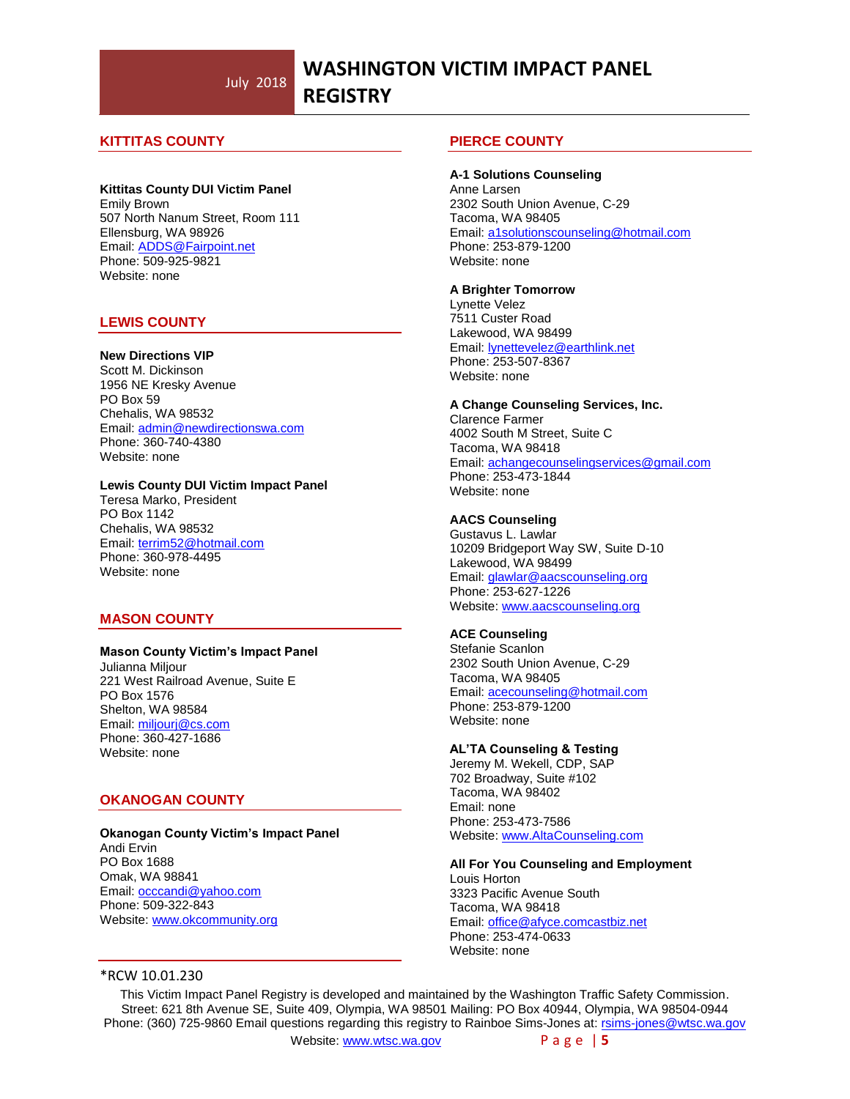# **WASHINGTON VICTIM IMPACT PANEL REGISTRY**

# **KITTITAS COUNTY**

#### **Kittitas County DUI Victim Panel**

Emily Brown 507 North Nanum Street, Room 111 Ellensburg, WA 98926 Email[: ADDS@Fairpoint.net](mailto:ADDS@Fairpoint.net) Phone: 509-925-9821 Website: none

#### **LEWIS COUNTY**

#### **New Directions VIP**

Scott M. Dickinson 1956 NE Kresky Avenue PO Box 59 Chehalis, WA 98532 Email[: admin@newdirectionswa.com](mailto:admin@newdirectionswa.com) Phone: 360-740-4380 Website: none

# **Lewis County DUI Victim Impact Panel**

Teresa Marko, President PO Box 1142 Chehalis, WA 98532 Email[: terrim52@hotmail.com](mailto:terrim52@hotmail.com) Phone: 360-978-4495 Website: none

#### **MASON COUNTY**

#### **Mason County Victim's Impact Panel**

Julianna Miljour 221 West Railroad Avenue, Suite E PO Box 1576 Shelton, WA 98584 Email[: miljourj@cs.com](mailto:miljourj@cs.com) Phone: 360-427-1686 Website: none

# **OKANOGAN COUNTY**

#### **Okanogan County Victim's Impact Panel** Andi Ervin PO Box 1688 Omak, WA 98841 Email[: occcandi@yahoo.com](mailto:occcandi@yahoo.com) Phone: 509-322-843 Website[: www.okcommunity.org](http://www.okcommunity.org/)

#### **PIERCE COUNTY**

**A-1 Solutions Counseling** Anne Larsen 2302 South Union Avenue, C-29 Tacoma, WA 98405 Email: [a1solutionscounseling@hotmail.com](mailto:a1solutionscounseling@hotmail.com) Phone: 253-879-1200 Website: none

#### **A Brighter Tomorrow**

Lynette Velez 7511 Custer Road Lakewood, WA 98499 Email: [lynettevelez@earthlink.net](mailto:lynettevelez@earthlink.net) Phone: 253-507-8367 Website: none

#### **A Change Counseling Services, Inc.**

Clarence Farmer 4002 South M Street, Suite C Tacoma, WA 98418 Email[: achangecounselingservices@gmail.com](mailto:achangecounselingservices@gmail.com) Phone: 253-473-1844 Website: none

#### **AACS Counseling**

Gustavus L. Lawlar 10209 Bridgeport Way SW, Suite D-10 Lakewood, WA 98499 Email: [glawlar@aacscounseling.org](mailto:glawlar@aacscounseling.org) Phone: 253-627-1226 Website[: www.aacscounseling.org](http://www.aacscounseling.org/)

# **ACE Counseling**

Stefanie Scanlon 2302 South Union Avenue, C-29 Tacoma, WA 98405 Email: [acecounseling@hotmail.com](mailto:acecounseling@hotmail.com) Phone: 253-879-1200 Website: none

#### **AL'TA Counseling & Testing**

Jeremy M. Wekell, CDP, SAP 702 Broadway, Suite #102 Tacoma, WA 98402 Email: none Phone: 253-473-7586 Website[: www.AltaCounseling.com](http://www.altacounseling.com/)

#### **All For You Counseling and Employment**

Louis Horton 3323 Pacific Avenue South Tacoma, WA 98418 Email: [office@afyce.comcastbiz.net](mailto:office@afyce.comcastbiz.net) Phone: 253-474-0633 Website: none

# \*RCW 10.01.230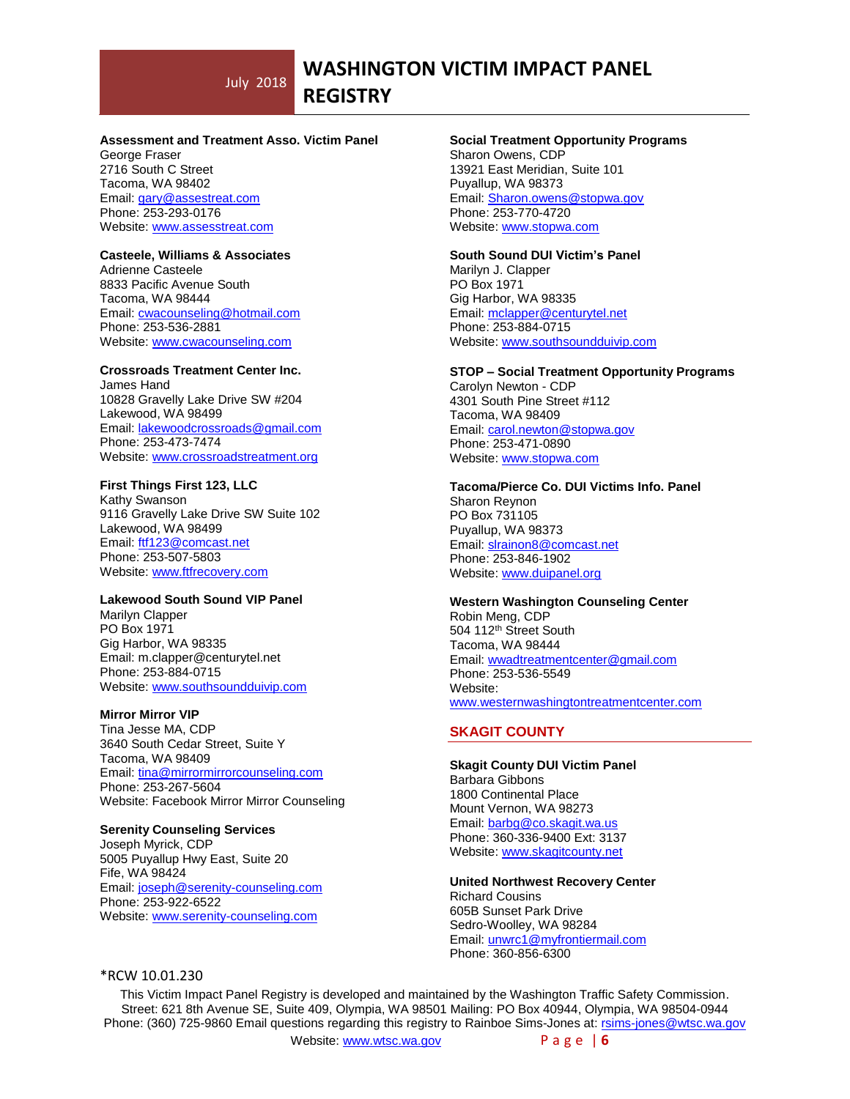# **WASHINGTON VICTIM IMPACT PANEL**

**REGISTRY**

#### **Assessment and Treatment Asso. Victim Panel**

George Fraser 2716 South C Street Tacoma, WA 98402 Email: [gary@assestreat.com](mailto:gary@assestreat.com) Phone: 253-293-0176 Website[: www.assesstreat.com](http://www.assesstreat.com/)

#### **Casteele, Williams & Associates**

Adrienne Casteele 8833 Pacific Avenue South Tacoma, WA 98444 Email: [cwacounseling@hotmail.com](mailto:cwacounseling@hotmail.com) Phone: 253-536-2881 Website[: www.cwacounseling.com](http://www.cwacounseling.com/)

#### **Crossroads Treatment Center Inc.**

James Hand 10828 Gravelly Lake Drive SW #204 Lakewood, WA 98499 Email: [lakewoodcrossroads@gmail.com](mailto:lakewoodcrossroads@gmail.com) Phone: 253-473-7474 Website[: www.crossroadstreatment.org](http://www.crossroadstreatment.org/)

### **First Things First 123, LLC**

Kathy Swanson 9116 Gravelly Lake Drive SW Suite 102 Lakewood, WA 98499 Email: [ftf123@comcast.net](mailto:ftf123@comcast.net) Phone: 253-507-5803 Website[: www.ftfrecovery.com](http://www.ftfrecovery.com/)

# **Lakewood South Sound VIP Panel**

Marilyn Clapper PO Box 1971 Gig Harbor, WA 98335 Email: m.clapper@centurytel.net Phone: 253-884-0715 Website[: www.southsoundduivip.com](http://www.southsoundduivip.com/)

#### **Mirror Mirror VIP**

Tina Jesse MA, CDP 3640 South Cedar Street, Suite Y Tacoma, WA 98409 Email[: tina@mirrormirrorcounseling.com](mailto:tina@mirrormirrorcounseling.com) Phone: 253-267-5604 Website: Facebook Mirror Mirror Counseling

#### **Serenity Counseling Services**

Joseph Myrick, CDP 5005 Puyallup Hwy East, Suite 20 Fife, WA 98424 Email[: joseph@serenity-counseling.com](mailto:joseph@serenity-counseling.com) Phone: 253-922-6522 Website: [www.serenity-counseling.com](http://www.serenity-counseling.com/)

### **Social Treatment Opportunity Programs**

Sharon Owens, CDP 13921 East Meridian, Suite 101 Puyallup, WA 98373 Email: [Sharon.owens@stopwa.gov](mailto:Sharon.owens@stopwa.gov) Phone: 253-770-4720 Website[: www.stopwa.com](http://www.stopwa.com/)

#### **South Sound DUI Victim's Panel**

Marilyn J. Clapper PO Box 1971 Gig Harbor, WA 98335 Email[: mclapper@centurytel.net](mailto:mclapper@centurytel.net) Phone: 253-884-0715 Website[: www.southsoundduivip.com](http://www.southsoundduivip.com/)

#### **STOP – Social Treatment Opportunity Programs**

Carolyn Newton - CDP 4301 South Pine Street #112 Tacoma, WA 98409 Email[: carol.newton@stopwa.gov](mailto:carol.newton@stopwa.gov) Phone: 253-471-0890 Website: [www.stopwa.com](http://www.stopwa.com/)

**Tacoma/Pierce Co. DUI Victims Info. Panel** Sharon Reynon PO Box 731105 Puyallup, WA 98373 Email[: slrainon8@comcast.net](mailto:slrainon8@comcast.net) Phone: 253-846-1902 Website: [www.duipanel.org](http://www.duipanel.org/)

#### **Western Washington Counseling Center**

Robin Meng, CDP 504 112<sup>th</sup> Street South Tacoma, WA 98444 Email[: wwadtreatmentcenter@gmail.com](mailto:wwadtreatmentcenter@gmail.com) Phone: 253-536-5549 Website: [www.westernwashingtontreatmentcenter.com](http://www.westernwashingtontreatmentcenter.com/)

#### **SKAGIT COUNTY**

**Skagit County DUI Victim Panel** Barbara Gibbons 1800 Continental Place Mount Vernon, WA 98273 Email: [barbg@co.skagit.wa.us](mailto:barbg@co.skagit.wa.us) Phone: 360-336-9400 Ext: 3137 Website[: www.skagitcounty.net](http://www.skagitcounty.net/)

**United Northwest Recovery Center** Richard Cousins 605B Sunset Park Drive Sedro-Woolley, WA 98284 Email: [unwrc1@myfrontiermail.com](mailto:unwrc1@myfrontiermail.com) Phone: 360-856-6300

# \*RCW 10.01.230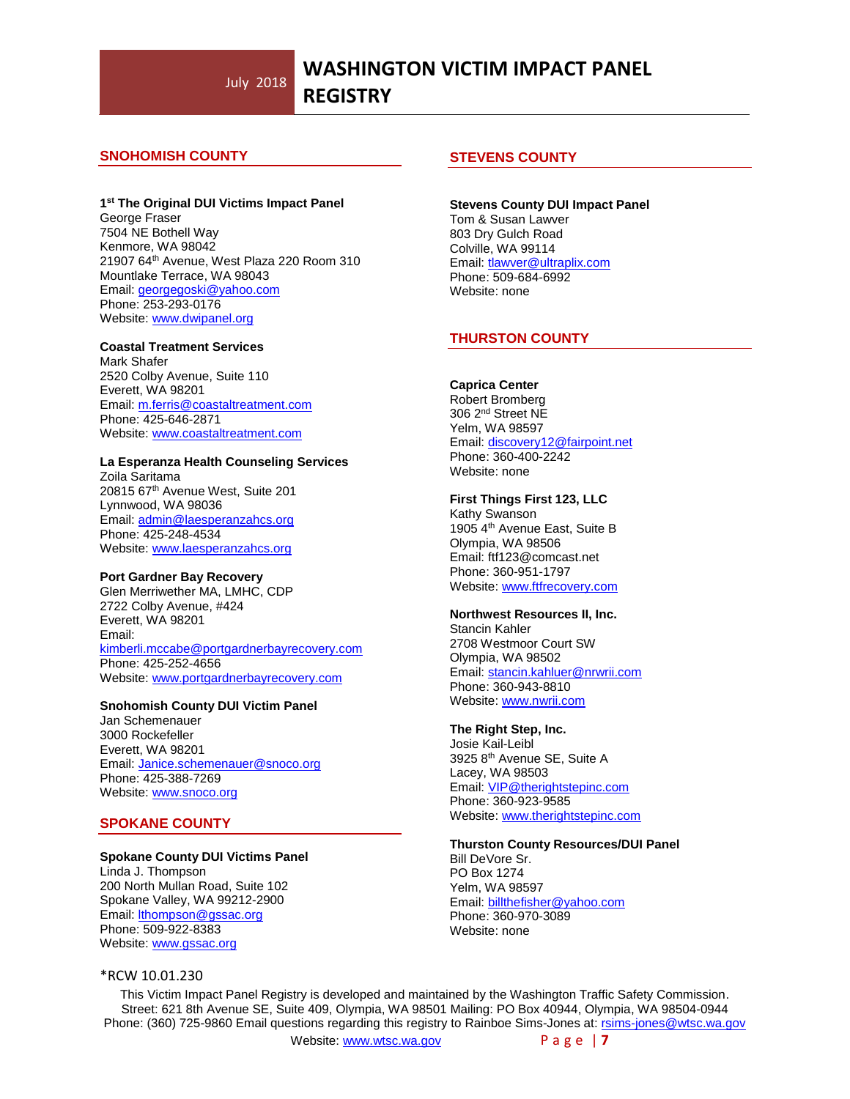# **SNOHOMISH COUNTY**

#### **1 st The Original DUI Victims Impact Panel**

George Fraser 7504 NE Bothell Way Kenmore, WA 98042 21907 64th Avenue, West Plaza 220 Room 310 Mountlake Terrace, WA 98043 Email: [georgegoski@yahoo.com](mailto:georgegoski@yahoo.com) Phone: 253-293-0176 Website[: www.dwipanel.org](http://www.dwipanel.org/)

#### **Coastal Treatment Services**

Mark Shafer 2520 Colby Avenue, Suite 110 Everett, WA 98201 Email: [m.ferris@coastaltreatment.com](mailto:m.ferris@coastaltreatment.com) Phone: 425-646-2871 Website[: www.coastaltreatment.com](http://www.coastaltreatment.com/)

#### **La Esperanza Health Counseling Services**

Zoila Saritama 20815 67th Avenue West, Suite 201 Lynnwood, WA 98036 Email: [admin@laesperanzahcs.org](mailto:admin@laesperanzahcs.org) Phone: 425-248-4534 Website[: www.laesperanzahcs.org](http://www.laesperanzahcs.org/)

#### **Port Gardner Bay Recovery**

Glen Merriwether MA, LMHC, CDP 2722 Colby Avenue, #424 Everett, WA 98201 Email: [kimberli.mccabe@portgardnerbayrecovery.com](mailto:kimberli.mccabe@portgardnerbayrecovery.com) Phone: 425-252-4656 Website: [www.p](http://www./)ortgardnerbayrecovery.com

#### **Snohomish County DUI Victim Panel**

Jan Schemenauer 3000 Rockefeller Everett, WA 98201 Email[: Janice.schemenauer@snoco.org](mailto:Janice.schemenauer@snoco.org) Phone: 425-388-7269 Website: [www.snoco.org](http://www.snoco.org/)

# **SPOKANE COUNTY**

#### **Spokane County DUI Victims Panel**

Linda J. Thompson 200 North Mullan Road, Suite 102 Spokane Valley, WA 99212-2900 Email[: lthompson@gssac.org](mailto:lthompson@gssac.org) Phone: 509-922-8383 Website: [www.gssac.org](http://www.gssac.org/)

#### \*RCW 10.01.230

#### **STEVENS COUNTY**

**Stevens County DUI Impact Panel** Tom & Susan Lawver 803 Dry Gulch Road Colville, WA 99114 Email[: tlawver@ultraplix.com](mailto:tlawver@ultraplix.com) Phone: 509-684-6992 Website: none

### **THURSTON COUNTY**

#### **Caprica Center**

Robert Bromberg 306 2nd Street NE Yelm, WA 98597 Email[: discovery12@fairpoint.net](mailto:discovery12@fairpoint.net) Phone: 360-400-2242 Website: none

#### **First Things First 123, LLC**

Kathy Swanson 1905 4th Avenue East, Suite B Olympia, WA 98506 Email: ftf123@comcast.net Phone: 360-951-1797 Website: [www.ftfrecovery.com](http://www.ftfrecovery.com/)

#### **Northwest Resources II, Inc.**

Stancin Kahler 2708 Westmoor Court SW Olympia, WA 98502 Email[: stancin.kahluer@nrwrii.com](mailto:stancin.kahluer@nrwrii.com)  Phone: 360-943-8810 Website[: www.nwrii.com](http://www.nwrii.com/)

#### **The Right Step, Inc.**

Josie Kail-Leibl 3925 8<sup>th</sup> Avenue SE, Suite A Lacey, WA 98503 Email[: VIP@therightstepinc.com](mailto:VIP@therightstepinc.com) Phone: 360-923-9585 Website[: www.therightstepinc.com](http://www.therightstepinc.com/)

#### **Thurston County Resources/DUI Panel**

Bill DeVore Sr. PO Box 1274 Yelm, WA 98597 Email[: billthefisher@yahoo.com](mailto:billthefisher@yahoo.com) Phone: 360-970-3089 Website: none